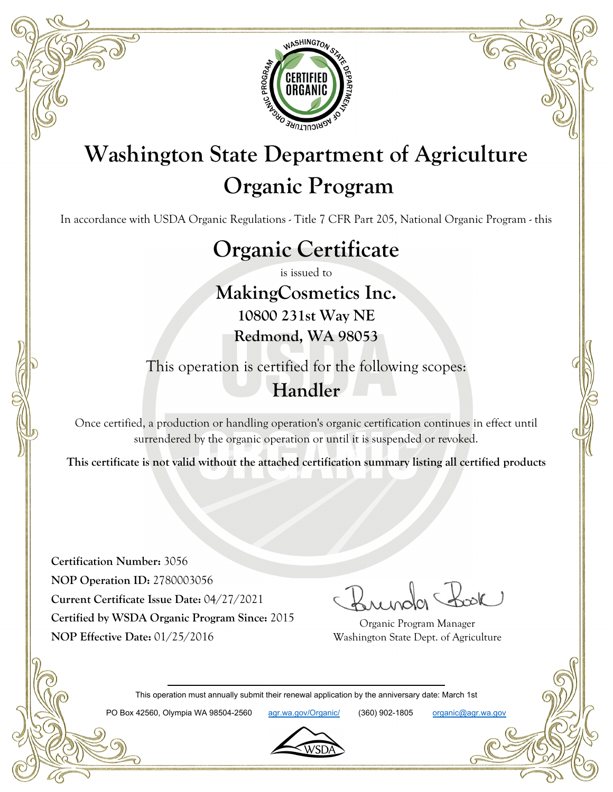

# **Washington State Department of Agriculture Organic Program**

In accordance with USDA Organic Regulations - Title 7 CFR Part 205, National Organic Program - this

## **Organic Certificate**

is issued to

**MakingCosmetics Inc. 10800 231st Way NE Redmond, WA 98053**

This operation is certified for the following scopes:

#### **Handler**

Once certified, a production or handling operation's organic certification continues in effect until surrendered by the organic operation or until it is suspended or revoked.

**This certificate is not valid without the attached certification summary listing all certified products**

**Certification Number:** 3056 **NOP Operation ID:** 2780003056 **Current Certificate Issue Date:** 04/27/2021 **Certified by WSDA Organic Program Since:** 2015 **NOP Effective Date:** 01/25/2016

Organic Program Manager Washington State Dept. of Agriculture

This operation must annually submit their renewal application by the anniversary date: March 1st

PO Box 42560, Olympia WA 98504-2560 agr.wa.gov/Organic/ (360) 902-1805 organic@agr.wa.gov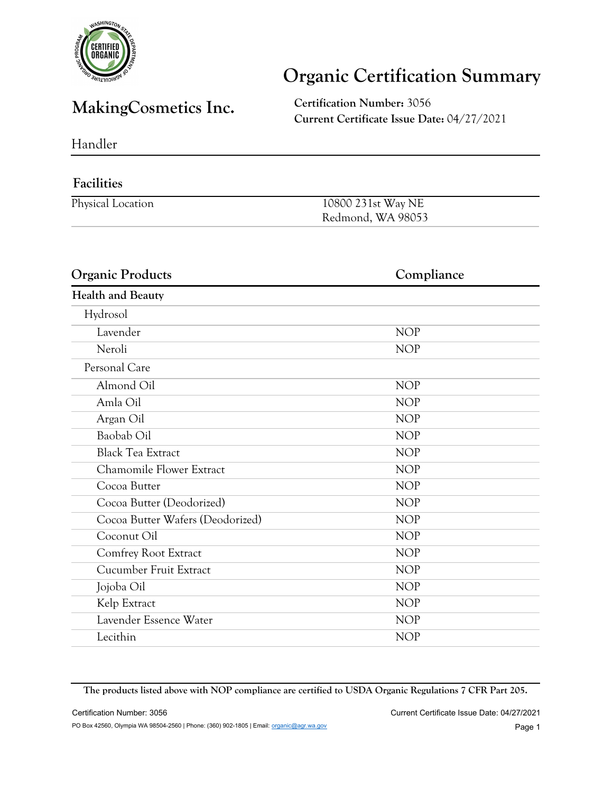

### **Organic Certification Summary**

#### **MakingCosmetics Inc. Certification Number:** <sup>3056</sup>

**Current Certificate Issue Date:** 04/27/2021

Handler

#### **Facilities** Physical Location 10800 231st Way NE Redmond, WA 98053

| <b>Organic Products</b>          | Compliance |
|----------------------------------|------------|
| <b>Health and Beauty</b>         |            |
| Hydrosol                         |            |
| Lavender                         | <b>NOP</b> |
| Neroli                           | <b>NOP</b> |
| Personal Care                    |            |
| Almond Oil                       | <b>NOP</b> |
| Amla Oil                         | <b>NOP</b> |
| Argan Oil                        | <b>NOP</b> |
| Baobab Oil                       | <b>NOP</b> |
| <b>Black Tea Extract</b>         | <b>NOP</b> |
| Chamomile Flower Extract         | <b>NOP</b> |
| Cocoa Butter                     | <b>NOP</b> |
| Cocoa Butter (Deodorized)        | <b>NOP</b> |
| Cocoa Butter Wafers (Deodorized) | <b>NOP</b> |
| Coconut Oil                      | <b>NOP</b> |
| Comfrey Root Extract             | <b>NOP</b> |
| Cucumber Fruit Extract           | <b>NOP</b> |
| Jojoba Oil                       | <b>NOP</b> |
| Kelp Extract                     | <b>NOP</b> |
| Lavender Essence Water           | <b>NOP</b> |
| Lecithin                         | <b>NOP</b> |

**The products listed above with NOP compliance are certified to USDA Organic Regulations 7 CFR Part 205.**